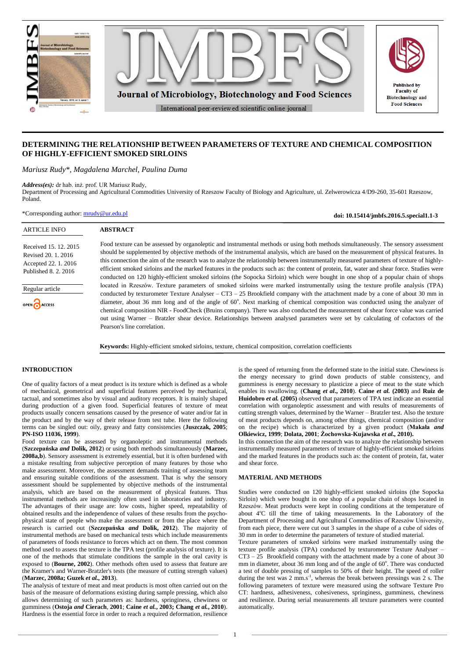

# **DETERMINING THE RELATIONSHIP BETWEEN PARAMETERS OF TEXTURE AND CHEMICAL COMPOSITION OF HIGHLY-EFFICIENT SMOKED SIRLOINS**

*Mariusz Rudy\*, Magdalena Marchel, Paulina Duma*

**ABSTRACT**

*Address(es):* dr hab. inż. prof. UR Mariusz Rudy,

Department of Processing and Agricultural Commodities University of Rzeszow Faculty of Biology and Agriculture, ul. Zelwerowicza 4/D9-260, 35-601 Rzeszow, Poland.

\*Corresponding author: [mrudy@ur.edu.pl](mailto:mrudy@ur.edu.pl)

Food texture can be assessed by organoleptic and instrumental methods or using both methods simultaneously. The sensory assessment should be supplemented by objective methods of the instrumental analysis, which are based on the measurement of physical features. In this connection the aim of the research was to analyze the relationship between instrumentally measured parameters of texture of highlyefficient smoked sirloins and the marked features in the products such as: the content of protein, fat, water and shear force. Studies were conducted on 120 highly-efficient smoked sirloins (the Sopocka Sirloin) which were bought in one shop of a popular chain of shops located in Rzeszów. Texture parameters of smoked sirloins were marked instrumentally using the texture profile analysis (TPA) conducted by texturometer Texture Analyser – CT3 – 25 Brookfield company with the attachment made by a cone of about 30 mm in diameter, about 36 mm long and of the angle of  $60^\circ$ . Next marking of chemical composition was conducted using the analyzer of chemical composition NIR - FoodCheck (Bruins company). There was also conducted the measurement of shear force value was carried out using Warner – Bratzler shear device. Relationships between analysed parameters were set by calculating of cofactors of the Pearson's line correlation.

**Keywords:** Highly-efficient smoked sirloins, texture, chemical composition, correlation coefficients

### **INTRODUCTION**

**ARTICLE INFO** 

Regular article

AACCESS

Received 15. 12. 2015 Revised 20. 1. 2016 Accepted 22. 1. 2016 Published 8. 2. 2016

One of quality factors of a meat product is its texture which is defined as a whole of mechanical, geometrical and superficial features perceived by mechanical, tactual, and sometimes also by visual and auditory receptors. It is mainly shaped during production of a given food. Superficial features of texture of meat products usually concern sensations caused by the presence of water and/or fat in the product and by the way of their release from test tube. Here the following terms can be singled out: oily, greasy and fatty consistencies (**Juszczak, 2005**; **PN-ISO 11036, 1999**).

Food texture can be assessed by organoleptic and instrumental methods (**Szczepańska** *and* **Dolik, 2012**) or using both methods simultaneously (**Marzec, 2008a,b**). Sensory assessment is extremely essential, but it is often burdened with a mistake resulting from subjective perception of many features by those who make assessment. Moreover, the assessment demands training of assessing team and ensuring suitable conditions of the assessment. That is why the sensory assessment should be supplemented by objective methods of the instrumental analysis, which are based on the measurement of physical features. Thus instrumental methods are increasingly often used in laboratories and industry. The advantages of their usage are: low costs, higher speed, repeatability of obtained results and the independence of values of these results from the psychophysical state of people who make the assessment or from the place where the research is carried out (**Szczepańska** *and* **Dolik, 2012**). The majority of instrumental methods are based on mechanical tests which include measurements of parameters of foods resistance to forces which act on them. The most common method used to assess the texture is the TPA test (profile analysis of texture). It is one of the methods that stimulate conditions the sample in the oral cavity is exposed to (**Bourne, 2002**). Other methods often used to assess that feature are the Kramer's and Warner-Bratzler's tests (the measure of cutting strength values) (**Marzec, 2008a; Guzek** *et al.,* **2013**).

The analysis of texture of meat and meat products is most often carried out on the basis of the measure of deformations existing during sample pressing, which also allows determining of such parameters as: hardness, springiness, chewiness or gumminess (**Ostoja** *and* **Cierach**, **2001**; **Caine** *et al.***, 2003; Chang** *et al.***, 2010**). Hardness is the essential force in order to reach a required deformation, resilience

is the speed of returning from the deformed state to the initial state. Chewiness is the energy necessary to grind down products of stable consistency, and gumminess is energy necessary to plasticize a piece of meat to the state which enables its swallowing. (**Chang** *et al***., 2010**). **Caine** *et al.* **(2003)** and **Ruiz de Huidobro** *et al.* **(2005)** observed that parameters of TPA test indicate an essential correlation with organoleptic assessment and with results of measurements of cutting strength values, determined by the Warner – Bratzler test. Also the texture of meat products depends on, among other things, chemical composition (and/or on the recipe) which is characterized by a given product (**Makała** *and* **Olkiewicz, 1999**; **Dolata, 2001**; **Żochowska-Kujawska** *et al.,* **2010).**

**doi: 10.15414/jmbfs.2016.5.special1.1-3**

In this connection the aim of the research was to analyze the relationship between instrumentally measured parameters of texture of highly-efficient smoked sirloins and the marked features in the products such as: the content of protein, fat, water and shear force.

#### **MATERIAL AND METHODS**

Studies were conducted on 120 highly-efficient smoked sirloins (the Sopocka Sirloin) which were bought in one shop of a popular chain of shops located in Rzeszów. Meat products were kept in cooling conditions at the temperature of about 4°C till the time of taking measurements. In the Laboratory of the Department of Processing and Agricultural Commodities of Rzeszów University, from each piece, there were cut out 3 samples in the shape of a cube of sides of 30 mm in order to determine the parameters of texture of studied material.

Texture parameters of smoked sirloins were marked instrumentally using the texture profile analysis (TPA) conducted by texturometer Texture Analyser –  $CT3 - 25$  Brookfield company with the attachment made by a cone of about 30 mm in diameter, about 36 mm long and of the angle of 60°. There was conducted a test of double pressing of samples to 50% of their height. The speed of roller during the test was 2 mm.s<sup>-1</sup>, whereas the break between pressings was 2 s. The following parameters of texture were measured using the software Texture Pro CT: hardness, adhesiveness, cohesiveness, springiness, gumminess, chewiness and resilience. During serial measurements all texture parameters were counted automatically.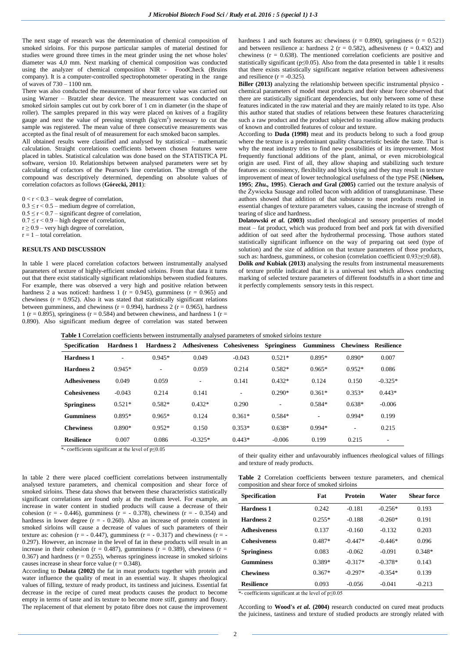The next stage of research was the determination of chemical composition of smoked sirloins. For this purpose particular samples of material destined for studies were ground three times in the meat grinder using the net whose holes' diameter was 4,0 mm. Next marking of chemical composition was conducted using the analyzer of chemical composition NIR - FoodCheck (Bruins company). It is a computer-controlled spectrophotometer operating in the range of waves of  $730 - 1100$  nm.

There was also conducted the measurement of shear force value was carried out using Warner – Bratzler shear device. The measurement was conducted on smoked sirloin samples cut out by cork borer of 1 cm in diameter (in the shape of roller). The samples prepared in this way were placed on knives of a fragility gauge and next the value of pressing strength  $\overline{\text{kg/cm}^2}$  necessary to cut the sample was registered. The mean value of three consecutive measurements was accepted as the final result of of measurement for each smoked bacon samples.

All obtained results were classified and analysed by statistical – mathematic calculation. Straight correlations coefficients between chosen features were placed in tables. Statistical calculation was done based on the STATISTICA PL software, version 10. Relationships between analysed parameters were set by calculating of cofactors of the Pearson's line correlation. The strength of the compound was descriptively determined, depending on absolute values of correlation cofactors as follows (**Górecki, 2011**):

- $0 < r < 0.3$  weak degree of correlation,
- $0.3 \le r < 0.5$  medium degree of correlation,
- $0.5 \le r < 0.7$  significant degree of correlation,
- $0.7 \le r < 0.9$  high degree of correlation,  $r \ge 0.9$  – very high degree of correlation,
- $r = 1 -$  total correlation.
- 

## **RESULTS AND DISCUSSION**

In table 1 were placed correlation cofactors between instrumentally analysed parameters of texture of highly-efficient smoked sirloins. From that data it turns out that there exist statistically significant relationships between studied features. For example, there was observed a very high and positive relation between hardness 2 a was noticed: hardness 1 ( $r = 0.945$ ), gumminess ( $r = 0.965$ ) and chewiness ( $r = 0.952$ ). Also it was stated that statistically significant relations between gumminess, and chewiness ( $r = 0.994$ ), hardness 2 ( $r = 0.965$ ), hardness 1 ( $r = 0.895$ ), springiness ( $r = 0.584$ ) and between chewiness, and hardness 1 ( $r =$ 0.890). Also significant medium degree of correlation was stated between hardness 1 and such features as: chewiness ( $r = 0.890$ ), springiness ( $r = 0.521$ ) and between resilience a: hardness 2 ( $r = 0.582$ ), adhesiveness ( $r = 0.432$ ) and chewiness ( $r = 0.638$ ). The mentioned correlation coeficients are positive and statistically significant ( $p \le 0.05$ ). Also from the data presented in table 1 it results that there exists statistically significant negative relation between adhesiveness and resilience  $(r = -0.325)$ .

**Biller (2013)** analyzing the relationship between specific instrumental physico chemical parameters of model meat products and their shear force observed that there are statistically significant dependencies, but only between some of these features indicated in the raw material and they are mainly related to its type. Also this author stated that studies of relations between these features characterizing such a raw product and the product subjected to roasting allow making products of known and controlled features of colour and texture.

According to **Duda (1998)** meat and its products belong to such a food group where the texture is a predominant quality characteristic beside the taste. That is why the meat industry tries to find new possibilities of its improvement. Most frequently functional additions of the plant, animal, or even microbiological origin are used. First of all, they allow shaping and stabilizing such texture features as: consistency, flexibility and block tying and they may result in texture improvement of meat of lower technological usefulness of the type PSE (**Nielsen, 1995**; *Zhu.,* **1995**). **Cierach** *and* **Gral (2005)** carried out the texture analysis of the Żywiecka Sausage and rolled bacon with addition of transglutaminase. These authors showed that addition of that substance to meat products resulted in essential changes of texture parameters values, causing the increase of strength of tearing of slice and hardness.

**Dolatowski** *et al.* **(2003)** studied rheological and sensory properties of model meat – fat product, which was produced from beef and pork fat with diversified addition of oat seed after the hydrothermal processing. Those authors stated statistically significant influence on the way of preparing oat seed (type of solution) and the size of addition on that texture parameters of those products, such as: hardness, gumminess, or cohesion (correlation coefficient  $0.93 \ge r \ge 0.68$ ). **Dolik** *and* **Kubiak (2013)** analysing the results from instrumental measurements

of texture profile indicated that it is a universal test which allows conducting marking of selected texture parameters of different foodstuffs in a short time and it perfectly complements sensory tests in this respect.

| <b>Specification</b>                                                                  | <b>Hardness 1</b> | <b>Hardness 2</b> |           | Adhesiveness Cohesiveness | <b>Springiness</b> | <b>Gumminess</b> | <b>Chewiness</b> | Resilience |
|---------------------------------------------------------------------------------------|-------------------|-------------------|-----------|---------------------------|--------------------|------------------|------------------|------------|
| <b>Hardness 1</b>                                                                     | ۰                 | $0.945*$          | 0.049     | $-0.043$                  | $0.521*$           | $0.895*$         | $0.890*$         | 0.007      |
| <b>Hardness 2</b>                                                                     | $0.945*$          |                   | 0.059     | 0.214                     | $0.582*$           | $0.965*$         | $0.952*$         | 0.086      |
| <b>Adhesiveness</b>                                                                   | 0.049             | 0.059             | ٠         | 0.141                     | $0.432*$           | 0.124            | 0.150            | $-0.325*$  |
| <b>Cohesiveness</b>                                                                   | $-0.043$          | 0.214             | 0.141     | ٠                         | $0.290*$           | $0.361*$         | $0.353*$         | $0.443*$   |
| <b>Springiness</b>                                                                    | $0.521*$          | $0.582*$          | $0.432*$  | 0.290                     | ٠                  | $0.584*$         | $0.638*$         | $-0.006$   |
| <b>Gumminess</b>                                                                      | $0.895*$          | $0.965*$          | 0.124     | $0.361*$                  | $0.584*$           | ۰                | $0.994*$         | 0.199      |
| <b>Chewiness</b>                                                                      | $0.890*$          | $0.952*$          | 0.150     | $0.353*$                  | $0.638*$           | $0.994*$         | ۰                | 0.215      |
| <b>Resilience</b><br>and the contract of the con-<br>$\sim$<br>$\cdot$ $\cdot$ $\sim$ | 0.007             | 0.086             | $-0.325*$ | $0.443*$                  | $-0.006$           | 0.199            | 0.215            | ۰          |

**Table 1** Correlation coefficients between instrumentally analysed parameters of smoked sirloins texture

\*- coefficients significant at the level of p≤0.05

In table 2 there were placed coefficient correlations between instrumentally analysed texture parameters, and chemical composition and shear force of smoked sirloins. These data shows that between these characteristics statistically significant correlations are found only at the medium level. For example, an increase in water content in studied products will cause a decrease of their cohesion ( $r = -0.446$ ), gumminess ( $r = -0.378$ ), chewiness ( $r = -0.354$ ) and hardness in lower degree  $(r = -0.260)$ . Also an increase of protein content in smoked sirloins will cause a decrease of values of such parameters of their texture as: cohesion ( $r = -0.447$ ), gumminess ( $r = -0.317$ ) and chewiness ( $r = -0.317$ ) 0.297). However, an increase in the level of fat in these products will result in an increase in their cohesion ( $r = 0.487$ ), gumminess ( $r = 0.389$ ), chewiness ( $r =$ 0.367) and hardness  $(r = 0.255)$ , whereas springiness increase in smoked sirloins causes increase in shear force value  $(r = 0.348)$ .

According to **Dolata (2002)** the fat in meat products together with protein and water influence the quality of meat in an essential way. It shapes rheological values of filling, texture of ready product, its tastiness and juiciness. Essential fat decrease in the recipe of cured meat products causes the product to become empty in terms of taste and its texture to become more stiff, gummy and floury. The replacement of that element by potato fibre does not cause the improvement

of their quality either and unfavourably influences rheological values of fillings and texture of ready products.

**Table 2** Correlation coefficients between texture parameters, and chemical composition and shear force of smoked sirloins

| <b>Specification</b> | Fat      | <b>Protein</b> | Water     | <b>Shear force</b> |
|----------------------|----------|----------------|-----------|--------------------|
| Hardness 1           | 0.242    | $-0.181$       | $-0.256*$ | 0.193              |
| Hardness 2           | $0.255*$ | $-0.188$       | $-0.260*$ | 0.191              |
| <b>Adhesiveness</b>  | 0.137    | $-0.160$       | $-0.132$  | 0.203              |
| <b>Cohesiveness</b>  | $0.487*$ | $-0.447*$      | $-0.446*$ | 0.096              |
| <b>Springiness</b>   | 0.083    | $-0.062$       | $-0.091$  | $0.348*$           |
| <b>Gumminess</b>     | $0.389*$ | $-0.317*$      | $-0.378*$ | 0.143              |
| <b>Chewiness</b>     | $0.367*$ | $-0.297*$      | $-0.354*$ | 0.139              |
| <b>Resilience</b>    | 0.093    | $-0.056$       | $-0.041$  | $-0.213$           |

\*- coefficients significant at the level of p≤0.05

According to **Wood's** *et al.* **(2004)** research conducted on cured meat products the juiciness, tastiness and texture of studied products are strongly related with